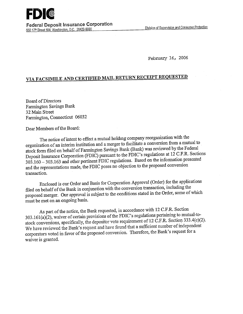February 16, 2006

## **VIA FACSIMILE AND CERTIFIED MAIL RETURN RECEIPT REQUESTED**

**Board of Directors** Farmington Savings Bank 32 Main Street Farmington, Connecticut 06032

Dear Members of the Board:

The notice of intent to effect a mutual holding company reorganization with the organization of an interim institution and a merger to facilitate a conversion from a mutual to stock form filed on behalf of Farmington Savings Bank (Bank) was reviewed by the Federal Deposit Insurance Corporation(FDIC) pursuant to the FDIC's regulations at 12 C.F.R. Sections 303.160 303.163 and other pertinent FDIC regulations. Based on the information presented and the representations made, the FDIC poses no objection to the proposed conversion transaction.

Enclosed is our Order and Basis for Corporation Approval (Order) for the applications filed on behalf of the Bank in conjunction with the conversion transaction, including the proposed merger. Our approval is subject to the conditions stated in the Order, some of which must be met on an-ongoing basis.

As part of the notice, the Bank requested, in accordance with 12 C.F.R. Section 303.161 (a)(2), waiver of certain provisions of the FDIC's regulations pertaining to mutual-tostock conversions, specifically, the depositor vote requirement of 12 C.F.R. Section 333.4(c)(2). We have reviewed the Bank's request and have found that a sufficient number of independent corporators voted in favor of the proposed conversion. Therefore, the Bank's request for a waiver is granted.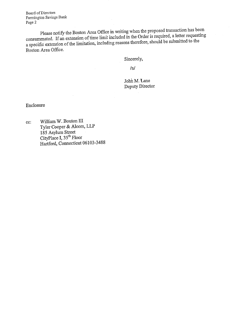Board of Directors Farmington Savings Bank Page 2

Please notify the Boston Area Office in writing when the proposed transaction has been consummated. If an extension of time limit included in the Order is required, a letter requesting a specific extension of the limitation, including reasons therefore, should be submitted to the Boston Area Office.

Sincerely,

/s/

John M. Lane Deputy Director

Enclosure

cc: William W. Bouton III Tyler Cooper & Alcom, LLP 185 Asylum Street CityPlace I, 35<sup>th</sup> Floor Hartford, Connecticut 06103-3488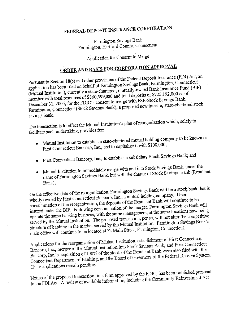## **FEDERAL DEPOSIT INSURANCE CORPORATION**

Farmington Savings Bank Farmington, Hartford County, Connecticut

Application *for* Consent to Merge

## **ORDER AND** *BASIS FOR* **CORPORATION APPROVAL**

Pursuant to Section 18(c) and other provisions of the Federal Deposit Insurance (FDI) Act, an application has been filed on behalf of Farmington Savings Bank, Farmington, Connecticut (Mutual Institution), currently a state-chartered, mutually-owned Bank Insurance Fund (BIF) member with total resources of \$860,599,000 and total deposits of \$725,192,000 as of December 31, 2005, for the FDIC's consent to merge with FSB-Stock Savings Bank,  $F_{\text{c}}$  Connecticut (Stock Savings Bank), a proposed new interim, state-chartered stock sammigton, et

The transaction is to effect the Mutual Institution's plan of reorganization which, solely to facilitate such undertaking, provides for:

- Mutual Institution to establish a state-chartered mutual holding company to be known as First Connecticut Bancorp, Inc., and to capitalize it with \$100,000;
- First Connecticut Bancorp, Inc.; to establish a subsidiary Stock Savings Bank; and
- Mutual Institution to immediately merge with and into Stock Savings Bank, under the name of Farmington Savings Bank, but with the charter of Stock S Bank);

On the effective date of the reorganization, Farmington Savings Bank will be a stock bank that is wholly owned by First Connecticut Bancorp, Inc., a mutual holding company. Upon consummation of the reorganization, the deposits of the Resultant Bank will continue to be insured under the BIF. Following consummation of the merger, Farmington Savings Bank will operate the same banking business, with the same management, at the same locations now being served by the Mutual Institution. The proposed transaction, per se, will not alter the competitive structure of banking in the market served by the Mutual Institution. Farmington Savings Bank's main office will continue to be located at 32 Main Street, Farmington, Connecticut.

Applications for the reorganization of Mutual Institution, establishment of First Connecticut Bancorp, Inc., merger of the Mutual Institution into Stock Savings Bank, and First Connecticut Bancorp, Inc.'s acquisition of 100% of the stock of the Resultant Bank were also filed with the Connecticut Department of Banking, and the Board of Governors of the Federal Reserve System. These applications remain pending.

Notice of the proposed transaction, in a form approved by the FDIC, has been published pursuant to the FDI Act. A review of available information, including the Community Reinvestment Act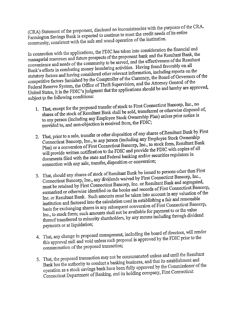(CRA) Statement of the proponent, disclosed no inconsistencies with the purposes of the cRA. Farmington Savings Bank is expected to continue to meet the credit needs of its entire community, consistent with the safe and sound operation of the institution.

In connection with the applications, the FDIC has taken into consideration the financial and managerial resources and future prospects of the proponent bank and the Resultant Bank, the convenience and needs of the community to be served, and the effectiveness of the Resultant Bank's efforts in combating money laundering activities. Having found favorably on all statutory factors and having considered other relevant information, including reports on the competitive factors furnished by the Comptroller of the Currency, the Board of Governors of the Federal Reserve System, the Office of Thrift Supervision, and the Attorney General of the United States, it is the FDIC's judgment that the applications should be and hereby are approved, subject to the following conditions:

- 1. That, except for the proposed transfer of stock to First Connecticut Bancorp, Inc., no shares of the stock of Resultant Bank shall be sold, transferred or otherwise disposed of, to any person (including any Employee Stock Ownership Plan) unless prior notice is provided to, and non-objection is received from, the FDIC;
- 2. That, prior to a sale, transfer or other disposition of any shares of Resultant Bank by First Connecticut Bancorp, Inc., to any person (including any Employée Stock Ownership Plan) or a conversion of First Connecticut Bancorp, Inc., to stock form, Resultant Bank will provide written notification to the FDIC and provide the FDIC with copies of all documents filed with the state and Federal banking and/or securities regulators in connection with any sale, transfer, disposition or conversion;
- That, should any shares of stock of Resultant Bank be issued to persons other than First Connecticut Bancorp, Inc., any dividends waived by First Connecticut Bancorp, Inc., must be retained by First Connecticut Bancorp, Inc. or Resultant Bank and segregated, earmarked or otherwise identified on the books and records of First Connecticut Bancorp, Inc. or Resultant Bank. Such amounts must be taken into account in any valuation of the institution and factored into the calculation used in establishing a fair and reasonable basis for exchanging shares in any subsequent conversion of First Connecticut Bancorp, Inc., to stock form; such amounts shall not be available for payment to or the value thereof transferred to minority shareholders, by any means including through dividend payments or at liquidation;
- 4. That, any change in proposed management, including the board of directors, will render this approval null and void unless such proposal is approved by the FDIC prior to the consummation of the proposed transaction;
- 5. That, the proposed transaction may not be consummated unless and until the Resultant Bank has the authority to conduct a banking business, and that its establishment and operation as a stock savings bank have been fully approved by the Commissioner of the Connecticut Department of Banking, and its holding company, First Connecticut